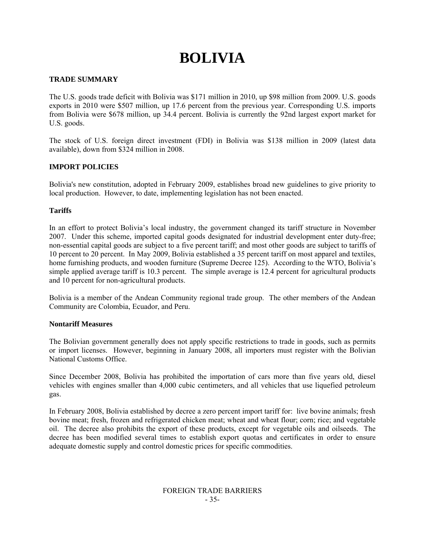# **BOLIVIA**

## **TRADE SUMMARY**

The U.S. goods trade deficit with Bolivia was \$171 million in 2010, up \$98 million from 2009. U.S. goods exports in 2010 were \$507 million, up 17.6 percent from the previous year. Corresponding U.S. imports from Bolivia were \$678 million, up 34.4 percent. Bolivia is currently the 92nd largest export market for U.S. goods.

The stock of U.S. foreign direct investment (FDI) in Bolivia was \$138 million in 2009 (latest data available), down from \$324 million in 2008.

## **IMPORT POLICIES**

Bolivia's new constitution, adopted in February 2009, establishes broad new guidelines to give priority to local production. However, to date, implementing legislation has not been enacted.

## **Tariffs**

In an effort to protect Bolivia's local industry, the government changed its tariff structure in November 2007. Under this scheme, imported capital goods designated for industrial development enter duty-free; non-essential capital goods are subject to a five percent tariff; and most other goods are subject to tariffs of 10 percent to 20 percent. In May 2009, Bolivia established a 35 percent tariff on most apparel and textiles, home furnishing products, and wooden furniture (Supreme Decree 125). According to the WTO, Bolivia's simple applied average tariff is 10.3 percent. The simple average is 12.4 percent for agricultural products and 10 percent for non-agricultural products.

Bolivia is a member of the Andean Community regional trade group. The other members of the Andean Community are Colombia, Ecuador, and Peru.

#### **Nontariff Measures**

The Bolivian government generally does not apply specific restrictions to trade in goods, such as permits or import licenses. However, beginning in January 2008, all importers must register with the Bolivian National Customs Office.

Since December 2008, Bolivia has prohibited the importation of cars more than five years old, diesel vehicles with engines smaller than 4,000 cubic centimeters, and all vehicles that use liquefied petroleum gas.

In February 2008, Bolivia established by decree a zero percent import tariff for: live bovine animals; fresh bovine meat; fresh, frozen and refrigerated chicken meat; wheat and wheat flour; corn; rice; and vegetable oil. The decree also prohibits the export of these products, except for vegetable oils and oilseeds. The decree has been modified several times to establish export quotas and certificates in order to ensure adequate domestic supply and control domestic prices for specific commodities.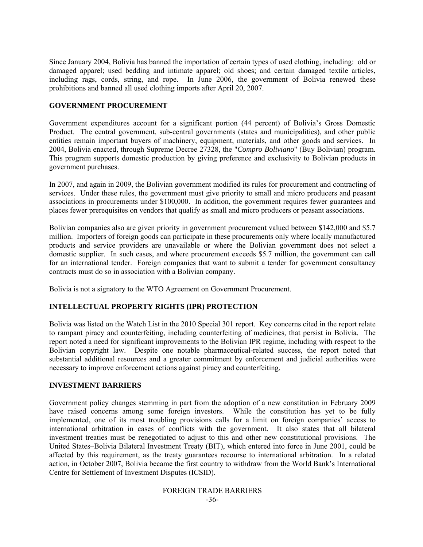Since January 2004, Bolivia has banned the importation of certain types of used clothing, including: old or damaged apparel; used bedding and intimate apparel; old shoes; and certain damaged textile articles, including rags, cords, string, and rope. In June 2006, the government of Bolivia renewed these prohibitions and banned all used clothing imports after April 20, 2007.

#### **GOVERNMENT PROCUREMENT**

Government expenditures account for a significant portion (44 percent) of Bolivia's Gross Domestic Product. The central government, sub-central governments (states and municipalities), and other public entities remain important buyers of machinery, equipment, materials, and other goods and services. In 2004, Bolivia enacted, through Supreme Decree 27328, the "*Compro Boliviano*" (Buy Bolivian) program. This program supports domestic production by giving preference and exclusivity to Bolivian products in government purchases.

In 2007, and again in 2009, the Bolivian government modified its rules for procurement and contracting of services. Under these rules, the government must give priority to small and micro producers and peasant associations in procurements under \$100,000. In addition, the government requires fewer guarantees and places fewer prerequisites on vendors that qualify as small and micro producers or peasant associations.

Bolivian companies also are given priority in government procurement valued between \$142,000 and \$5.7 million. Importers of foreign goods can participate in these procurements only where locally manufactured products and service providers are unavailable or where the Bolivian government does not select a domestic supplier. In such cases, and where procurement exceeds \$5.7 million, the government can call for an international tender. Foreign companies that want to submit a tender for government consultancy contracts must do so in association with a Bolivian company.

Bolivia is not a signatory to the WTO Agreement on Government Procurement.

#### **INTELLECTUAL PROPERTY RIGHTS (IPR) PROTECTION**

Bolivia was listed on the Watch List in the 2010 Special 301 report. Key concerns cited in the report relate to rampant piracy and counterfeiting, including counterfeiting of medicines, that persist in Bolivia. The report noted a need for significant improvements to the Bolivian IPR regime, including with respect to the Bolivian copyright law. Despite one notable pharmaceutical-related success, the report noted that substantial additional resources and a greater commitment by enforcement and judicial authorities were necessary to improve enforcement actions against piracy and counterfeiting.

#### **INVESTMENT BARRIERS**

Government policy changes stemming in part from the adoption of a new constitution in February 2009 have raised concerns among some foreign investors. While the constitution has yet to be fully implemented, one of its most troubling provisions calls for a limit on foreign companies' access to international arbitration in cases of conflicts with the government. It also states that all bilateral investment treaties must be renegotiated to adjust to this and other new constitutional provisions. The United States–Bolivia Bilateral Investment Treaty (BIT), which entered into force in June 2001, could be affected by this requirement, as the treaty guarantees recourse to international arbitration. In a related action, in October 2007, Bolivia became the first country to withdraw from the World Bank's International Centre for Settlement of Investment Disputes (ICSID).

> FOREIGN TRADE BARRIERS -36-